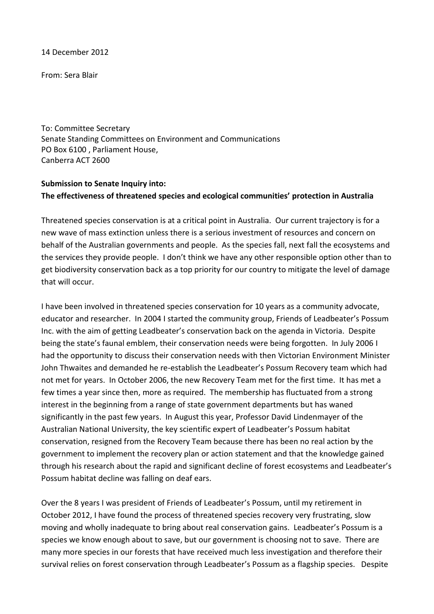14 December 2012

From: Sera Blair

To: Committee Secretary Senate Standing Committees on Environment and Communications PO Box 6100 , Parliament House, Canberra ACT 2600

# **Submission to Senate Inquiry into: The effectiveness of threatened species and ecological communities' protection in Australia**

Threatened species conservation is at a critical point in Australia. Our current trajectory is for a new wave of mass extinction unless there is a serious investment of resources and concern on behalf of the Australian governments and people. As the species fall, next fall the ecosystems and the services they provide people. I don't think we have any other responsible option other than to get biodiversity conservation back as a top priority for our country to mitigate the level of damage that will occur.

I have been involved in threatened species conservation for 10 years as a community advocate, educator and researcher. In 2004 I started the community group, Friends of Leadbeater's Possum Inc. with the aim of getting Leadbeater's conservation back on the agenda in Victoria. Despite being the state's faunal emblem, their conservation needs were being forgotten. In July 2006 I had the opportunity to discuss their conservation needs with then Victorian Environment Minister John Thwaites and demanded he re-establish the Leadbeater's Possum Recovery team which had not met for years. In October 2006, the new Recovery Team met for the first time. It has met a few times a year since then, more as required. The membership has fluctuated from a strong interest in the beginning from a range of state government departments but has waned significantly in the past few years. In August this year, Professor David Lindenmayer of the Australian National University, the key scientific expert of Leadbeater's Possum habitat conservation, resigned from the Recovery Team because there has been no real action by the government to implement the recovery plan or action statement and that the knowledge gained through his research about the rapid and significant decline of forest ecosystems and Leadbeater's Possum habitat decline was falling on deaf ears.

Over the 8 years I was president of Friends of Leadbeater's Possum, until my retirement in October 2012, I have found the process of threatened species recovery very frustrating, slow moving and wholly inadequate to bring about real conservation gains. Leadbeater's Possum is a species we know enough about to save, but our government is choosing not to save. There are many more species in our forests that have received much less investigation and therefore their survival relies on forest conservation through Leadbeater's Possum as a flagship species. Despite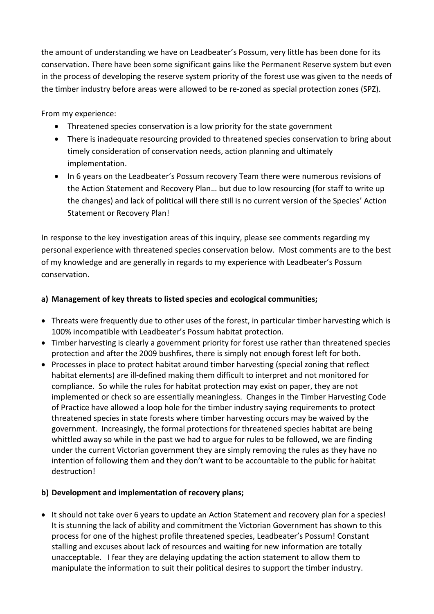the amount of understanding we have on Leadbeater's Possum, very little has been done for its conservation. There have been some significant gains like the Permanent Reserve system but even in the process of developing the reserve system priority of the forest use was given to the needs of the timber industry before areas were allowed to be re-zoned as special protection zones (SPZ).

From my experience:

- Threatened species conservation is a low priority for the state government
- There is inadequate resourcing provided to threatened species conservation to bring about timely consideration of conservation needs, action planning and ultimately implementation.
- In 6 years on the Leadbeater's Possum recovery Team there were numerous revisions of the Action Statement and Recovery Plan… but due to low resourcing (for staff to write up the changes) and lack of political will there still is no current version of the Species' Action Statement or Recovery Plan!

In response to the key investigation areas of this inquiry, please see comments regarding my personal experience with threatened species conservation below. Most comments are to the best of my knowledge and are generally in regards to my experience with Leadbeater's Possum conservation.

# **a) Management of key threats to listed species and ecological communities;**

- Threats were frequently due to other uses of the forest, in particular timber harvesting which is 100% incompatible with Leadbeater's Possum habitat protection.
- Timber harvesting is clearly a government priority for forest use rather than threatened species protection and after the 2009 bushfires, there is simply not enough forest left for both.
- Processes in place to protect habitat around timber harvesting (special zoning that reflect habitat elements) are ill-defined making them difficult to interpret and not monitored for compliance. So while the rules for habitat protection may exist on paper, they are not implemented or check so are essentially meaningless. Changes in the Timber Harvesting Code of Practice have allowed a loop hole for the timber industry saying requirements to protect threatened species in state forests where timber harvesting occurs may be waived by the government. Increasingly, the formal protections for threatened species habitat are being whittled away so while in the past we had to argue for rules to be followed, we are finding under the current Victorian government they are simply removing the rules as they have no intention of following them and they don't want to be accountable to the public for habitat destruction!

## **b) Development and implementation of recovery plans;**

• It should not take over 6 years to update an Action Statement and recovery plan for a species! It is stunning the lack of ability and commitment the Victorian Government has shown to this process for one of the highest profile threatened species, Leadbeater's Possum! Constant stalling and excuses about lack of resources and waiting for new information are totally unacceptable. I fear they are delaying updating the action statement to allow them to manipulate the information to suit their political desires to support the timber industry.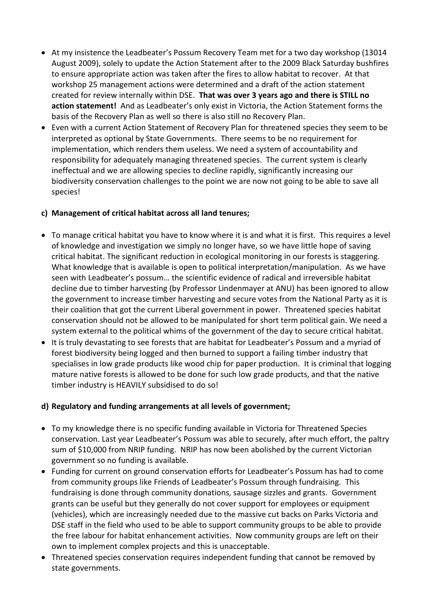- At my insistence the Leadbeater's Possum Recovery Team met for a two day workshop (13014 August 2009), solely to update the Action Statement after to the 2009 Black Saturday bushfires to ensure appropriate action was taken after the fires to allow habitat to recover. At that workshop 25 management actions were determined and a draft of the action statement created for review internally within DSE. **That was over 3 years ago and there is STILL no action statement!** And as Leadbeater's only exist in Victoria, the Action Statement forms the basis of the Recovery Plan as well so there is also still no Recovery Plan.
- Even with a current Action Statement of Recovery Plan for threatened species they seem to be interpreted as optional by State Governments. There seems to be no requirement for implementation, which renders them useless. We need a system of accountability and responsibility for adequately managing threatened species. The current system is clearly ineffectual and we are allowing species to decline rapidly, significantly increasing our biodiversity conservation challenges to the point we are now not going to be able to save all species!

## **c) Management of critical habitat across all land tenures;**

- To manage critical habitat you have to know where it is and what it is first. This requires a level of knowledge and investigation we simply no longer have, so we have little hope of saving critical habitat. The significant reduction in ecological monitoring in our forests is staggering. What knowledge that is available is open to political interpretation/manipulation. As we have seen with Leadbeater's possum… the scientific evidence of radical and irreversible habitat decline due to timber harvesting (by Professor Lindenmayer at ANU) has been ignored to allow the government to increase timber harvesting and secure votes from the National Party as it is their coalition that got the current Liberal government in power. Threatened species habitat conservation should not be allowed to be manipulated for short term political gain. We need a system external to the political whims of the government of the day to secure critical habitat.
- It is truly devastating to see forests that are habitat for Leadbeater's Possum and a myriad of forest biodiversity being logged and then burned to support a failing timber industry that specialises in low grade products like wood chip for paper production. It is criminal that logging mature native forests is allowed to be done for such low grade products, and that the native timber industry is HEAVILY subsidised to do so!

## **d) Regulatory and funding arrangements at all levels of government;**

- To my knowledge there is no specific funding available in Victoria for Threatened Species conservation. Last year Leadbeater's Possum was able to securely, after much effort, the paltry sum of \$10,000 from NRIP funding. NRIP has now been abolished by the current Victorian government so no funding is available.
- Funding for current on ground conservation efforts for Leadbeater's Possum has had to come from community groups like Friends of Leadbeater's Possum through fundraising. This fundraising is done through community donations, sausage sizzles and grants. Government grants can be useful but they generally do not cover support for employees or equipment (vehicles), which are increasingly needed due to the massive cut backs on Parks Victoria and DSE staff in the field who used to be able to support community groups to be able to provide the free labour for habitat enhancement activities. Now community groups are left on their own to implement complex projects and this is unacceptable.
- Threatened species conservation requires independent funding that cannot be removed by state governments.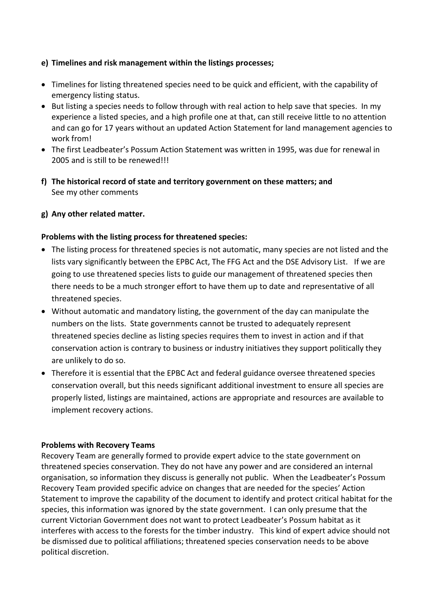### **e) Timelines and risk management within the listings processes;**

- Timelines for listing threatened species need to be quick and efficient, with the capability of emergency listing status.
- But listing a species needs to follow through with real action to help save that species. In my experience a listed species, and a high profile one at that, can still receive little to no attention and can go for 17 years without an updated Action Statement for land management agencies to work from!
- The first Leadbeater's Possum Action Statement was written in 1995, was due for renewal in 2005 and is still to be renewed!!!
- **f) The historical record of state and territory government on these matters; and** See my other comments

### **g) Any other related matter.**

#### **Problems with the listing process for threatened species:**

- The listing process for threatened species is not automatic, many species are not listed and the lists vary significantly between the EPBC Act, The FFG Act and the DSE Advisory List. If we are going to use threatened species lists to guide our management of threatened species then there needs to be a much stronger effort to have them up to date and representative of all threatened species.
- Without automatic and mandatory listing, the government of the day can manipulate the numbers on the lists. State governments cannot be trusted to adequately represent threatened species decline as listing species requires them to invest in action and if that conservation action is contrary to business or industry initiatives they support politically they are unlikely to do so.
- Therefore it is essential that the EPBC Act and federal guidance oversee threatened species conservation overall, but this needs significant additional investment to ensure all species are properly listed, listings are maintained, actions are appropriate and resources are available to implement recovery actions.

#### **Problems with Recovery Teams**

Recovery Team are generally formed to provide expert advice to the state government on threatened species conservation. They do not have any power and are considered an internal organisation, so information they discuss is generally not public. When the Leadbeater's Possum Recovery Team provided specific advice on changes that are needed for the species' Action Statement to improve the capability of the document to identify and protect critical habitat for the species, this information was ignored by the state government. I can only presume that the current Victorian Government does not want to protect Leadbeater's Possum habitat as it interferes with access to the forests for the timber industry. This kind of expert advice should not be dismissed due to political affiliations; threatened species conservation needs to be above political discretion.